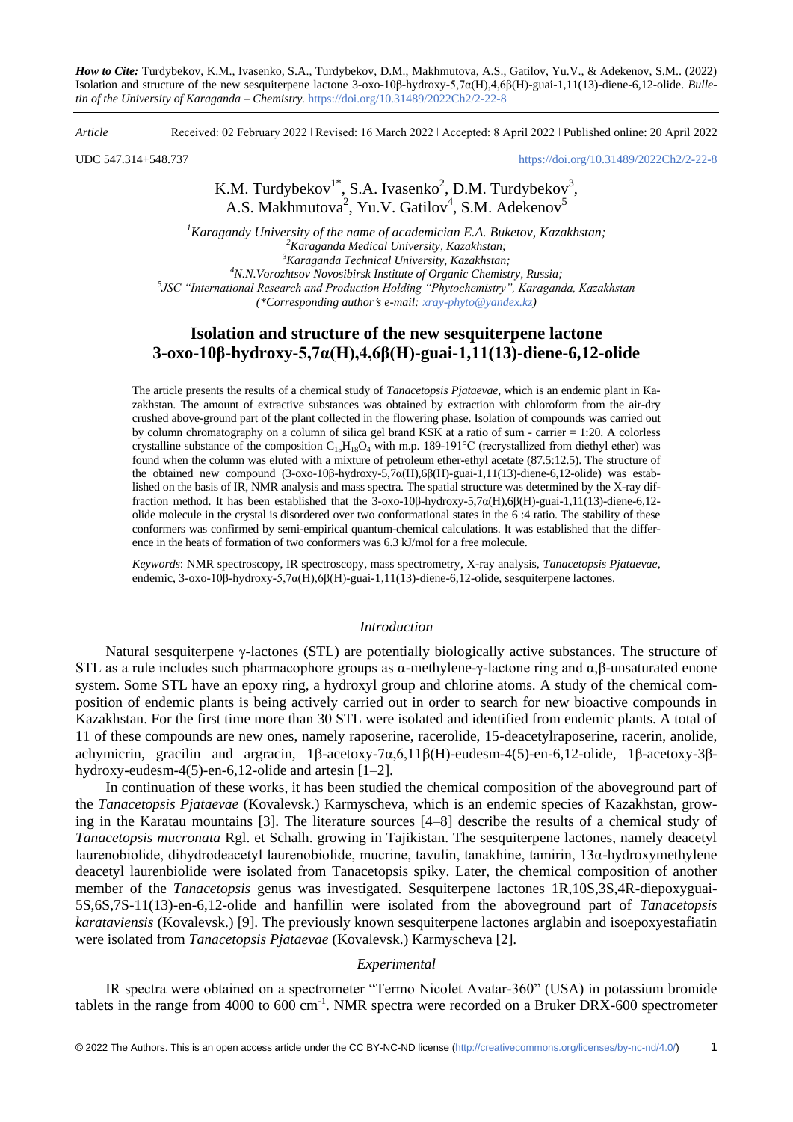*How to Cite:* Turdybekov, K.M., Ivasenko, S.A., Turdybekov, D.M., Makhmutova, A.S., Gatilov, Yu.V., & Adekenov, S.M.. (2022) Isolation and structure of the new sesquiterpene lactone 3-oxo-10β-hydroxy-5,7α(H),4,6β(H)-guai-1,11(13)-diene-6,12-olide. *Bulletin of the University of Karaganda – Chemistry.* https://doi.org/10.31489/2022Ch2/2-22-8

*Article* Received: 02 February 2022 ǀ Revised: 16 March 2022 ǀ Accepted: 8 April 2022 ǀ Published online: 20 April 2022

UDC 547.314+548.737 <https://doi.org/10.31489/2022Ch2/2-22-8>

# K.M. Turdybekov<sup>1\*</sup>, S.A. Ivasenko<sup>2</sup>, D.M. Turdybekov<sup>3</sup>, A.S. Makhmutova<sup>2</sup>, Yu.V. Gatilov<sup>4</sup>, S.M. Adekenov<sup>5</sup>

*Karagandy University of the name of academician E.A. Buketov, Kazakhstan; Karaganda Medical University, Kazakhstan; Karaganda Technical University, Kazakhstan; N.N.Vorozhtsov Novosibirsk Institute of Organic Chemistry, Russia; JSC "International Research and Production Holding "Phytochemistry", Karaganda, Kazakhstan (\*Corresponding authors e-mail: [xray-phyto@yandex.kz\)](mailto:xray-phyto@yandex.kz)*

# **Isolation and structure of the new sesquiterpene lactone 3-oxo-10β-hydroxy-5,7α(H),4,6β(H)-guai-1,11(13)-diene-6,12-olide**

The article presents the results of a chemical study of *Tanacetopsis Pjataevae*, which is an endemic plant in Kazakhstan. The amount of extractive substances was obtained by extraction with chloroform from the air-dry crushed above-ground part of the plant collected in the flowering phase. Isolation of compounds was carried out by column chromatography on a column of silica gel brand KSK at a ratio of sum - carrier = 1:20. A colorless crystalline substance of the composition  $C_{15}H_{18}O_4$  with m.p. 189-191°C (recrystallized from diethyl ether) was found when the column was eluted with a mixture of petroleum ether-ethyl acetate (87.5:12.5). The structure of the obtained new compound (3-oxo-10β-hydroxy-5,7α(Н),6β(Н)-guai-1,11(13)-diene-6,12-olide) was established on the basis of IR, NMR analysis and mass spectra. The spatial structure was determined by the X-ray diffraction method. It has been established that the 3-oxo-10β-hydroxy-5,7α(Н),6β(Н)-guai-1,11(13)-diene-6,12 olide molecule in the crystal is disordered over two conformational states in the 6 :4 ratio. The stability of these conformers was confirmed by semi-empirical quantum-chemical calculations. It was established that the difference in the heats of formation of two conformers was 6.3 kJ/mol for a free molecule.

*Keywords*: NMR spectroscopy, IR spectroscopy, mass spectrometry, X-ray analysis, *Tanacetopsis Pjataevae*, endemic, 3-oxo-10β-hydroxy-5,7α(Н),6β(Н)-guai-1,11(13)-diene-6,12-olide, sesquiterpene lactones.

## *Introduction*

Natural sesquiterpene γ-lactones (STL) are potentially biologically active substances. The structure of STL as a rule includes such pharmacophore groups as α-methylene-γ-lactone ring and  $\alpha$ ,β-unsaturated enone system. Some STL have an epoxy ring, a hydroxyl group and chlorine atoms. A study of the chemical composition of endemic plants is being actively carried out in order to search for new bioactive compounds in Kazakhstan. For the first time more than 30 STL were isolated and identified from endemic plants. A total of 11 of these compounds are new ones, namely raposerine, racerolide, 15-deacetylraposerine, racerin, anolide, achymicrin, gracilin and argracin,  $1\beta$ -acetoxy-7α,6,11β(H)-eudesm-4(5)-en-6,12-olide, 1β-acetoxy-3βhydroxy-eudesm-4(5)-en-6,12-olide and artesin [1–2].

In continuation of these works, it has been studied the chemical composition of the aboveground part of the *Tanacetopsis Pjataevae* (Kovalevsk.) Karmyscheva, which is an endemic species of Kazakhstan, growing in the Karatau mountains [3]. The literature sources [4–8] describe the results of a chemical study of *Tanacetopsis mucronata* Rgl. et Schalh. growing in Tajikistan. The sesquiterpene lactones, namely deacetyl laurenobiolide, dihydrodeacetyl laurenobiolide, mucrine, tavulin, tanakhine, tamirin, 13α-hydroxymethylene deacetyl laurenbiolide were isolated from Tanacetopsis spiky. Later, the chemical composition of another member of the *Tanacetopsis* genus was investigated. Sesquiterpene lactones 1R,10S,3S,4R-diepoxyguai-5S,6S,7S-11(13)-en-6,12-olide and hanfillin were isolated from the aboveground part of *Tanacetopsis karataviensis* (Kovalevsk.) [9]. The previously known sesquiterpene lactones arglabin and isoepoxyestafiatin were isolated from *Tanacetopsis Pjataevae* (Kovalevsk.) Karmyscheva [2].

## *Experimental*

IR spectra were obtained on a spectrometer "Termo Nicolet Avatar-360" (USA) in potassium bromide tablets in the range from 4000 to 600 cm<sup>-1</sup>. NMR spectra were recorded on a Bruker DRX-600 spectrometer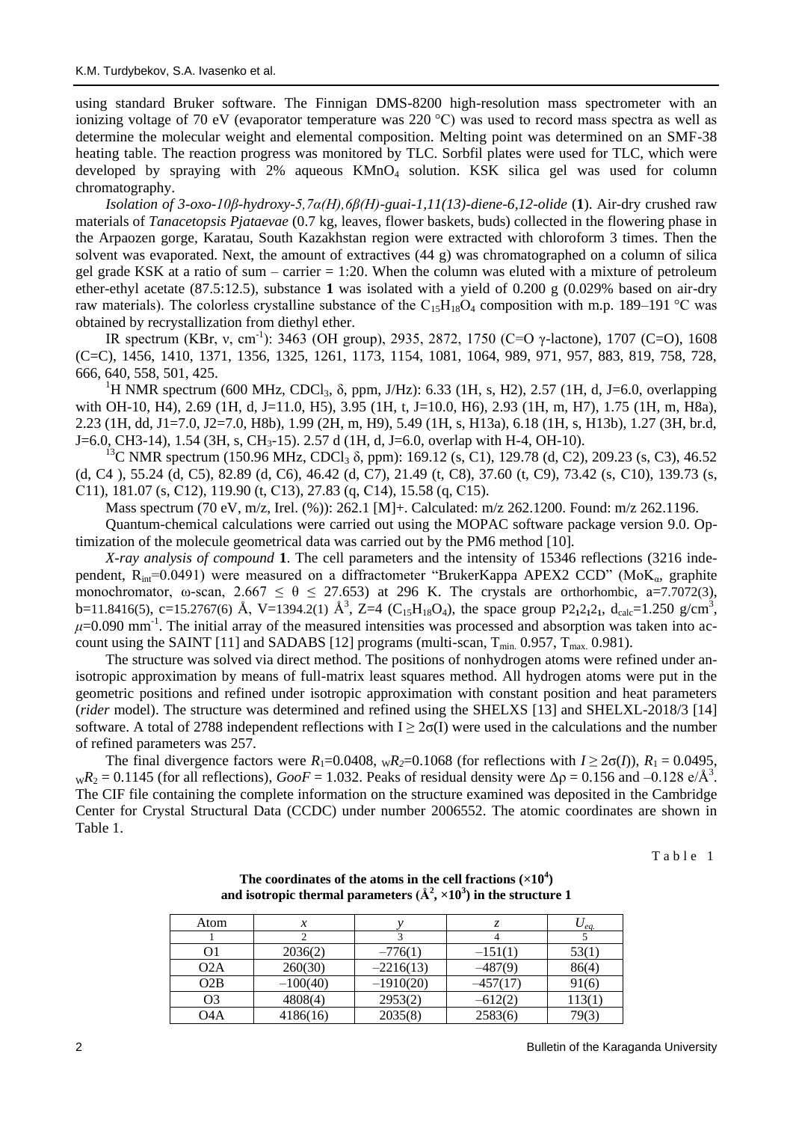using standard Bruker software. The Finnigan DMS-8200 high-resolution mass spectrometer with an ionizing voltage of 70 eV (evaporator temperature was 220 °C) was used to record mass spectra as well as determine the molecular weight and elemental composition. Melting point was determined on an SMF-38 heating table. The reaction progress was monitored by TLC. Sorbfil plates were used for TLC, which were developed by spraying with  $2\%$  aqueous  $KMnO<sub>4</sub>$  solution. KSK silica gel was used for column chromatography.

*Isolation of 3-oxo-10β-hydroxy-5,7α(Н),6β(Н)-guai-1,11(13)-diene-6,12-olide* (**1**). Air-dry crushed raw materials of *Tanacetopsis Pjataevae* (0.7 kg, leaves, flower baskets, buds) collected in the flowering phase in the Arpaozen gorge, Karatau, South Kazakhstan region were extracted with chloroform 3 times. Then the solvent was evaporated. Next, the amount of extractives (44 g) was chromatographed on a column of silica gel grade KSK at a ratio of sum – carrier  $= 1:20$ . When the column was eluted with a mixture of petroleum ether-ethyl acetate (87.5:12.5), substance **1** was isolated with a yield of 0.200 g (0.029% based on air-dry raw materials). The colorless crystalline substance of the  $C_{15}H_{18}O_4$  composition with m.p. 189–191 °C was obtained by recrystallization from diethyl ether.

IR spectrum (KBr, v, cm<sup>-1</sup>): 3463 (OH group), 2935, 2872, 1750 (C=O γ-lactone), 1707 (C=O), 1608 (C=C), 1456, 1410, 1371, 1356, 1325, 1261, 1173, 1154, 1081, 1064, 989, 971, 957, 883, 819, 758, 728, 666, 640, 558, 501, 425.

<sup>1</sup>H NMR spectrum (600 MHz, CDCl<sub>3</sub>,  $\delta$ , ppm, J/Hz): 6.33 (1H, s, H2), 2.57 (1H, d, J=6.0, overlapping with OH-10, H4), 2.69 (1H, d, J=11.0, H5), 3.95 (1H, t, J=10.0, H6), 2.93 (1H, m, H7), 1.75 (1H, m, H8a), 2.23 (1H, dd, J1=7.0, J2=7.0, H8b), 1.99 (2H, m, H9), 5.49 (1H, s, H13a), 6.18 (1H, s, H13b), 1.27 (3H, br.d, J=6.0, CH3-14), 1.54 (3H, s, CH<sub>3</sub>-15). 2.57 d (1H, d, J=6.0, overlap with H-4, OH-10).

<sup>13</sup>C NMR spectrum (150.96 MHz, CDCl<sub>3</sub> δ, ppm): 169.12 (s, C1), 129.78 (d, C2), 209.23 (s, C3), 46.52 (d, C4 ), 55.24 (d, C5), 82.89 (d, C6), 46.42 (d, C7), 21.49 (t, C8), 37.60 (t, C9), 73.42 (s, С10), 139.73 (s, С11), 181.07 (s, С12), 119.90 (t, С13), 27.83 (q, С14), 15.58 (q, С15).

Mass spectrum (70 eV, m/z, Irel. (%)): 262.1 [M]+. Calculated: m/z 262.1200. Found: m/z 262.1196.

Quantum-chemical calculations were carried out using the MOPAC software package version 9.0. Optimization of the molecule geometrical data was carried out by the PM6 method [10].

*X-ray analysis of compound* **1**. The cell parameters and the intensity of 15346 reflections (3216 independent,  $R_{int}=0.0491$ ) were measured on a diffractometer "BrukerKappa APEX2 CCD" (MoK<sub>a</sub>, graphite monochromator, ω-scan,  $2.667 \le \theta \le 27.653$ ) at 296 K. The crystals are orthorhombic, a=7.7072(3), b=11.8416(5), c=15.2767(6) Å, V=1394.2(1) Å<sup>3</sup>, Z=4 (C<sub>15</sub>H<sub>18</sub>O<sub>4</sub>), the space group P2<sub>1</sub>2<sub>1</sub>2<sub>1</sub>, d<sub>calc</sub>=1.250 g/cm<sup>3</sup>,  $\mu$ =0.090 mm<sup>-1</sup>. The initial array of the measured intensities was processed and absorption was taken into account using the SAINT [11] and SADABS [12] programs (multi-scan,  $T_{min}$  0.957,  $T_{max}$  0.981).

The structure was solved via direct method. The positions of nonhydrogen atoms were refined under anisotropic approximation by means of full-matrix least squares method. All hydrogen atoms were put in the geometric positions and refined under isotropic approximation with constant position and heat parameters (*rider* model). The structure was determined and refined using the SHELXS [13] and SHELXL-2018/3 [14] software. A total of 2788 independent reflections with  $I \geq 2\sigma(I)$  were used in the calculations and the number of refined parameters was 257.

The final divergence factors were  $R_1=0.0408$ ,  $_{\text{W}}R_2=0.1068$  (for reflections with  $I \geq 2\sigma(I)$ ),  $R_1 = 0.0495$ ,  $_{\text{W}}R_2 = 0.1145$  (for all reflections),  $GooF = 1.032$ . Peaks of residual density were  $\Delta \rho = 0.156$  and  $-0.128$  e/Å<sup>3</sup>. The CIF file containing the complete information on the structure examined was deposited in the Cambridge Center for Crystal Structural Data (CCDC) under number 2006552. The atomic coordinates are shown in Table 1.

Table 1

| Atom             | $\boldsymbol{\chi}$ |             |            | $\cup_{\ell}a$ . |
|------------------|---------------------|-------------|------------|------------------|
|                  |                     |             |            |                  |
| O1               | 2036(2)             | $-776(1)$   | $-151(1)$  | 53(1)            |
| O2A              | 260(30)             | $-2216(13)$ | $-487(9)$  | 86(4)            |
| O2B              | $-100(40)$          | $-1910(20)$ | $-457(17)$ | 91(6)            |
| O <sub>3</sub>   | 4808(4)             | 2953(2)     | $-612(2)$  | 113(1)           |
| O <sub>4</sub> A | 4186(16)            | 2035(8)     | 2583(6)    | 79(3             |

The coordinates of the atoms in the cell fractions  $(\times 10^4)$ and isotropic thermal parameters  $(\AA^2,\times 10^3)$  in the structure  $1$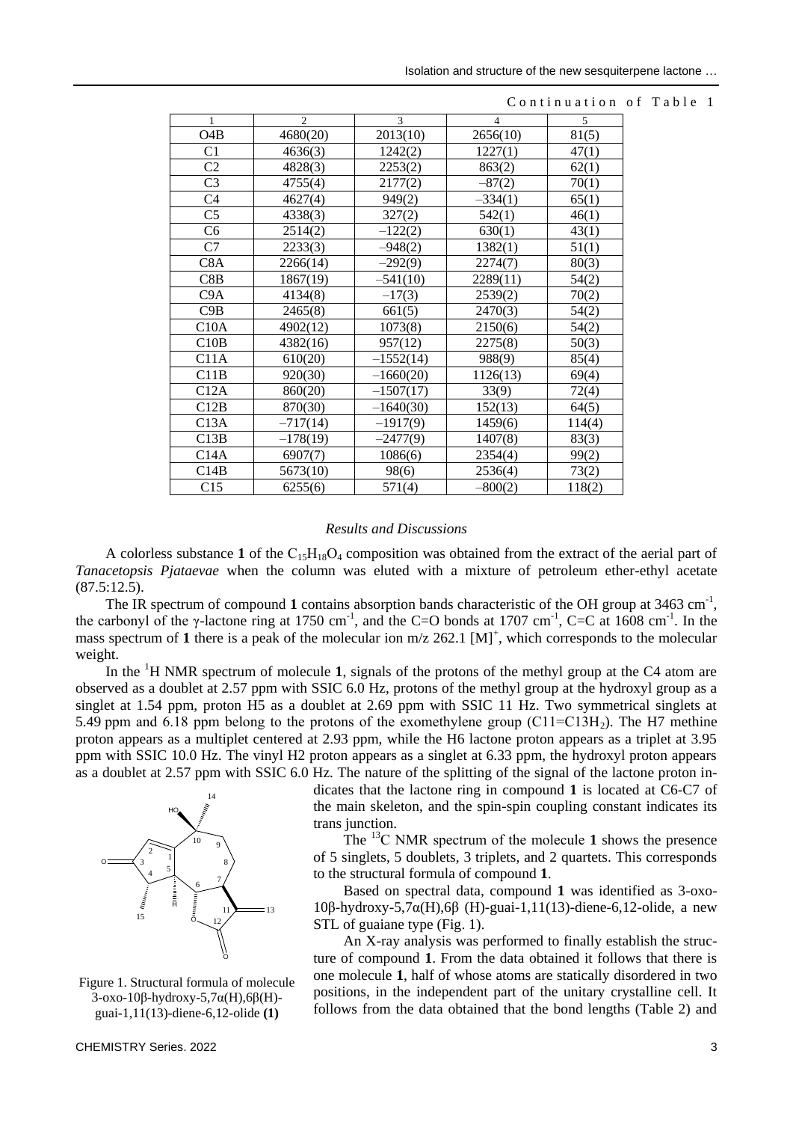| $\mathbf{1}$     | $\overline{c}$ | 3           | $\overline{4}$ | 5      |
|------------------|----------------|-------------|----------------|--------|
| O <sub>4</sub> B | 4680(20)       | 2013(10)    | 2656(10)       | 81(5)  |
| C <sub>1</sub>   | 4636(3)        | 1242(2)     | 1227(1)        | 47(1)  |
| C <sub>2</sub>   | 4828(3)        | 2253(2)     | 863(2)         | 62(1)  |
| C <sub>3</sub>   | 4755(4)        | 2177(2)     | $-87(2)$       | 70(1)  |
| C <sub>4</sub>   | 4627(4)        | 949(2)      | $-334(1)$      | 65(1)  |
| C <sub>5</sub>   | 4338(3)        | 327(2)      | 542(1)         | 46(1)  |
| C <sub>6</sub>   | 2514(2)        | $-122(2)$   | 630(1)         | 43(1)  |
| C7               | 2233(3)        | $-948(2)$   | 1382(1)        | 51(1)  |
| C <sub>8</sub> A | 2266(14)       | $-292(9)$   | 2274(7)        | 80(3)  |
| C8B              | 1867(19)       | $-541(10)$  | 2289(11)       | 54(2)  |
| C9A              | 4134(8)        | $-17(3)$    | 2539(2)        | 70(2)  |
| C9B              | 2465(8)        | 661(5)      | 2470(3)        | 54(2)  |
| C10A             | 4902(12)       | 1073(8)     | 2150(6)        | 54(2)  |
| C10B             | 4382(16)       | 957(12)     | 2275(8)        | 50(3)  |
| C11A             | 610(20)        | $-1552(14)$ | 988(9)         | 85(4)  |
| C11B             | 920(30)        | $-1660(20)$ | 1126(13)       | 69(4)  |
| C12A             | 860(20)        | $-1507(17)$ | 33(9)          | 72(4)  |
| C12B             | 870(30)        | $-1640(30)$ | 152(13)        | 64(5)  |
| C13A             | $-717(14)$     | $-1917(9)$  | 1459(6)        | 114(4) |
| C13B             | $-178(19)$     | $-2477(9)$  | 1407(8)        | 83(3)  |
| C14A             | 6907(7)        | 1086(6)     | 2354(4)        | 99(2)  |
| C14B             | 5673(10)       | 98(6)       | 2536(4)        | 73(2)  |
| C15              | 6255(6)        | 571(4)      | $-800(2)$      | 118(2) |

### Continuation of Table 1

### *Results and Discussions*

A colorless substance 1 of the  $C_{15}H_{18}O_4$  composition was obtained from the extract of the aerial part of *Tanacetopsis Pjataevae* when the column was eluted with a mixture of petroleum ether-ethyl acetate (87.5:12.5).

The IR spectrum of compound 1 contains absorption bands characteristic of the OH group at  $3463 \text{ cm}^{-1}$ , the carbonyl of the γ-lactone ring at 1750 cm<sup>-1</sup>, and the C=O bonds at 1707 cm<sup>-1</sup>, C=C at 1608 cm<sup>-1</sup>. In the mass spectrum of 1 there is a peak of the molecular ion  $m/z$  262.1  $[M]^+$ , which corresponds to the molecular weight.

In the <sup>1</sup>H NMR spectrum of molecule **1**, signals of the protons of the methyl group at the C4 atom are observed as a doublet at 2.57 ppm with SSIC 6.0 Hz, protons of the methyl group at the hydroxyl group as a singlet at 1.54 ppm, proton H5 as a doublet at 2.69 ppm with SSIC 11 Hz. Two symmetrical singlets at 5.49 ppm and 6.18 ppm belong to the protons of the exomethylene group ( $C11=C13H<sub>2</sub>$ ). The H7 methine proton appears as a multiplet centered at 2.93 ppm, while the H6 lactone proton appears as a triplet at 3.95 ppm with SSIC 10.0 Hz. The vinyl H2 proton appears as a singlet at 6.33 ppm, the hydroxyl proton appears as a doublet at 2.57 ppm with SSIC 6.0 Hz. The nature of the splitting of the signal of the lactone proton in-



Figure 1. Structural formula of molecule 3-oxo-10β-hydroxy-5,7α(H),6β(H) guai-1,11(13)-diene-6,12-olide **(1)**

dicates that the lactone ring in compound **1** is located at C6-C7 of the main skeleton, and the spin-spin coupling constant indicates its trans junction.

The <sup>13</sup>C NMR spectrum of the molecule 1 shows the presence of 5 singlets, 5 doublets, 3 triplets, and 2 quartets. This corresponds to the structural formula of compound **1**.

Based on spectral data, compound **1** was identified as 3-oxo-10β-hydroxy-5,7α(H),6β (H)-guai-1,11(13)-diene-6,12-olide, a new STL of guaiane type (Fig. 1).

An X-ray analysis was performed to finally establish the structure of compound **1**. From the data obtained it follows that there is one molecule **1**, half of whose atoms are statically disordered in two positions, in the independent part of the unitary crystalline cell. It follows from the data obtained that the bond lengths (Table 2) and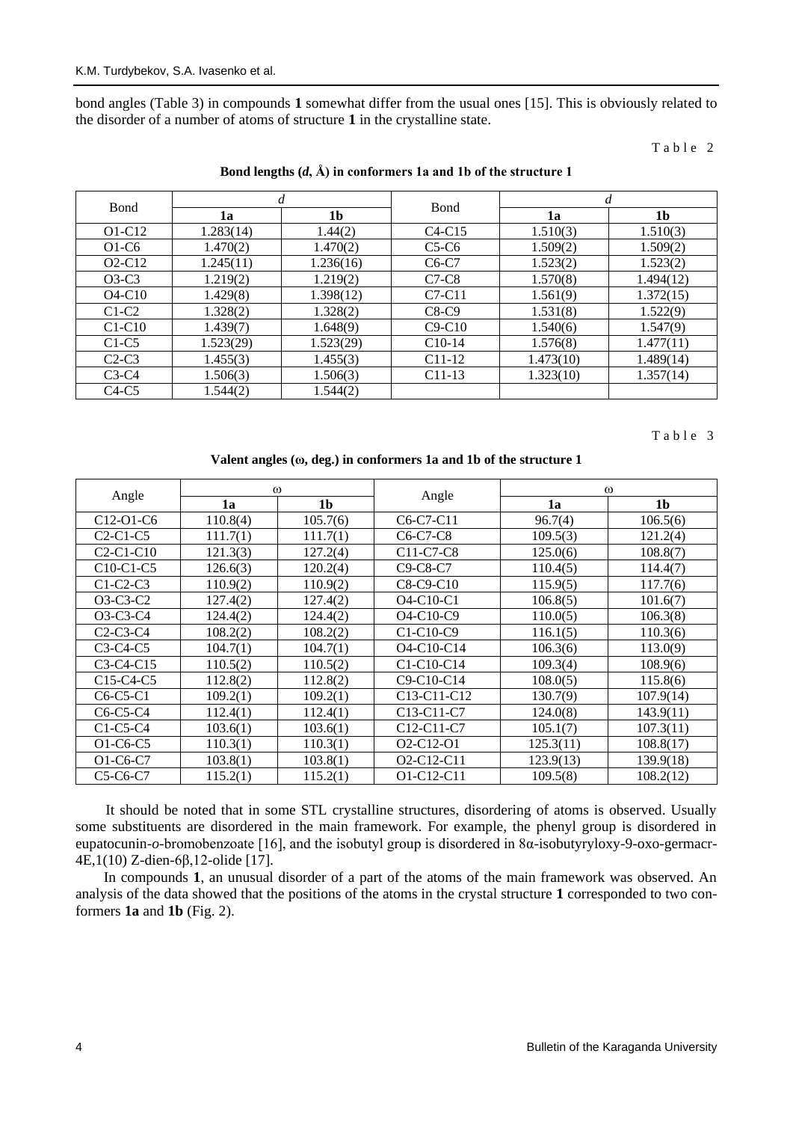bond angles (Table 3) in compounds **1** somewhat differ from the usual ones [15]. This is obviously related to the disorder of a number of atoms of structure **1** in the crystalline state.

## Table 2

| <b>B</b> ond | d         |           |              | d         |           |
|--------------|-----------|-----------|--------------|-----------|-----------|
|              | 1a        | 1b        | <b>B</b> ond | 1a        | 1b        |
| $O1-C12$     | 1.283(14) | 1.44(2)   | $C4-C15$     | 1.510(3)  | 1.510(3)  |
| $O1-C6$      | 1.470(2)  | 1.470(2)  | $C5-C6$      | 1.509(2)  | 1.509(2)  |
| $O2-C12$     | 1.245(11) | 1.236(16) | $C6-C7$      | 1.523(2)  | 1.523(2)  |
| $O3-C3$      | 1.219(2)  | 1.219(2)  | $C7-C8$      | 1.570(8)  | 1.494(12) |
| $O4-C10$     | 1.429(8)  | 1.398(12) | $C7-C11$     | 1.561(9)  | 1.372(15) |
| $C1-C2$      | 1.328(2)  | 1.328(2)  | $C8-C9$      | 1.531(8)  | 1.522(9)  |
| $C1-C10$     | 1.439(7)  | 1.648(9)  | $C9-C10$     | 1.540(6)  | 1.547(9)  |
| $C1-C5$      | 1.523(29) | 1.523(29) | $C10-14$     | 1.576(8)  | 1.477(11) |
| $C2-C3$      | 1.455(3)  | 1.455(3)  | $C11-12$     | 1.473(10) | 1.489(14) |
| $C3-C4$      | 1.506(3)  | 1.506(3)  | $C11-13$     | 1.323(10) | 1.357(14) |
| $C4-C5$      | 1.544(2)  | 1.544(2)  |              |           |           |

### **Bond lengths (***d***, Å) in conformers 1a and 1b of the structure 1**

### Table 3

## **Valent angles (ω, deg.) in conformers 1a and 1b of the structure 1**

| Angle       | $\omega$ |                |                                                   | $\omega$  |                |
|-------------|----------|----------------|---------------------------------------------------|-----------|----------------|
|             | 1a       | 1 <sub>b</sub> | Angle                                             | 1a        | 1 <sub>b</sub> |
| C12-O1-C6   | 110.8(4) | 105.7(6)       | C6-C7-C11                                         | 96.7(4)   | 106.5(6)       |
| $C2-C1-C5$  | 111.7(1) | 111.7(1)       | $C6-C7-C8$                                        | 109.5(3)  | 121.2(4)       |
| $C2-C1-C10$ | 121.3(3) | 127.2(4)       | C11-C7-C8                                         | 125.0(6)  | 108.8(7)       |
| $C10-C1-C5$ | 126.6(3) | 120.2(4)       | C <sub>9</sub> -C <sub>8</sub> -C <sub>7</sub>    | 110.4(5)  | 114.4(7)       |
| $C1-C2-C3$  | 110.9(2) | 110.9(2)       | $C8-C9-C10$                                       | 115.9(5)  | 117.7(6)       |
| $O3-C3-C2$  | 127.4(2) | 127.4(2)       | O <sub>4</sub> -C <sub>10</sub> -C <sub>1</sub>   | 106.8(5)  | 101.6(7)       |
| O3-C3-C4    | 124.4(2) | 124.4(2)       | $O4-C10-C9$                                       | 110.0(5)  | 106.3(8)       |
| $C2-C3-C4$  | 108.2(2) | 108.2(2)       | $C1-C10-C9$                                       | 116.1(5)  | 110.3(6)       |
| $C3-C4-C5$  | 104.7(1) | 104.7(1)       | $O4-C10-C14$                                      | 106.3(6)  | 113.0(9)       |
| $C3-C4-C15$ | 110.5(2) | 110.5(2)       | C1-C10-C14                                        | 109.3(4)  | 108.9(6)       |
| $C15-C4-C5$ | 112.8(2) | 112.8(2)       | C9-C10-C14                                        | 108.0(5)  | 115.8(6)       |
| $C6-C5-C1$  | 109.2(1) | 109.2(1)       | C <sub>13</sub> -C <sub>11</sub> -C <sub>12</sub> | 130.7(9)  | 107.9(14)      |
| $C6-C5-C4$  | 112.4(1) | 112.4(1)       | C <sub>13</sub> -C <sub>11</sub> -C <sub>7</sub>  | 124.0(8)  | 143.9(11)      |
| $C1-C5-C4$  | 103.6(1) | 103.6(1)       | C12-C11-C7                                        | 105.1(7)  | 107.3(11)      |
| O1-C6-C5    | 110.3(1) | 110.3(1)       | O <sub>2</sub> -C <sub>12</sub> -O <sub>1</sub>   | 125.3(11) | 108.8(17)      |
| $O1-C6-C7$  | 103.8(1) | 103.8(1)       | O <sub>2</sub> -C <sub>12</sub> -C <sub>11</sub>  | 123.9(13) | 139.9(18)      |
| $C5-C6-C7$  | 115.2(1) | 115.2(1)       | O1-C12-C11                                        | 109.5(8)  | 108.2(12)      |

It should be noted that in some STL crystalline structures, disordering of atoms is observed. Usually some substituents are disordered in the main framework. For example, the phenyl group is disordered in eupatocunin-*o*-bromobenzoate [16], and the isobutyl group is disordered in 8α-isobutyryloxy-9-oxo-germacr-4E,1(10) Z-dien-6β,12-olide [17].

In compounds **1**, an unusual disorder of a part of the atoms of the main framework was observed. An analysis of the data showed that the positions of the atoms in the crystal structure **1** corresponded to two conformers **1a** and **1b** (Fig. 2).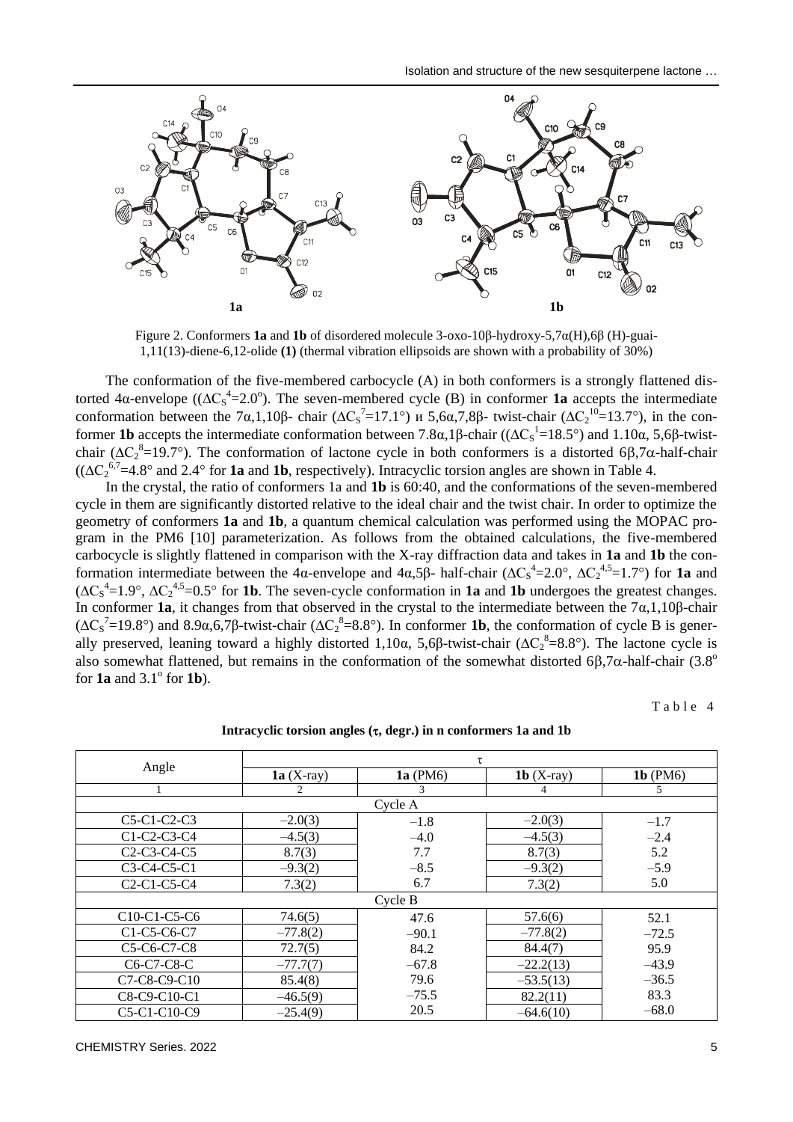

Figure 2. Conformers **1a** and **1b** of disordered molecule 3-oxo-10β-hydroxy-5,7α(H),6β (H)-guai-1,11(13)-diene-6,12-olide **(1)** (thermal vibration ellipsoids are shown with a probability of 30%)

The conformation of the five-membered carbocycle (A) in both conformers is a strongly flattened distorted 4α-envelope ( $(ΔC<sub>S</sub><sup>4</sup>=2.0°)$ ). The seven-membered cycle (B) in conformer **1a** accepts the intermediate conformation between the 7α,1,10β- chair ( $\Delta C_s^2$ =17.1°) и 5,6α,7,8β- twist-chair ( $\Delta C_2^{\ 10}$ =13.7°), in the conformer **1b** accepts the intermediate conformation between 7.8α,1β-chair (( $\Delta C_s^1$ =18.5°) and 1.10α, 5,6β-twistchair ( $\Delta C_2^8$ =19.7°). The conformation of lactone cycle in both conformers is a distorted 6 $\beta$ ,7 $\alpha$ -half-chair  $((\Delta C_2^{6.7} = 4.8^{\circ}$  and 2.4° for **1a** and **1b**, respectively). Intracyclic torsion angles are shown in Table 4.

In the crystal, the ratio of conformers 1a and **1b** is 60:40, and the conformations of the seven-membered cycle in them are significantly distorted relative to the ideal chair and the twist chair. In order to optimize the geometry of conformers **1a** and **1b**, a quantum chemical calculation was performed using the MOPAC program in the PM6 [10] parameterization. As follows from the obtained calculations, the five-membered carbocycle is slightly flattened in comparison with the X-ray diffraction data and takes in **1a** and **1b** the conformation intermediate between the 4α-envelope and  $4\alpha,5\beta$ - half-chair ( $\Delta C_s^4$ =2.0°,  $\Delta C_2^4$ , 5=1.7°) for **1a** and  $(\Delta C_S^4 = 1.9^\circ, \Delta C_2^{4,5} = 0.5^\circ$  for **1b**. The seven-cycle conformation in **1a** and **1b** undergoes the greatest changes. In conformer **1a**, it changes from that observed in the crystal to the intermediate between the  $7\alpha, 1, 10\beta$ -chair ( $\Delta C_S^7$ =19.8°) and 8.9α,6,7β-twist-chair ( $\Delta C_2^8$ =8.8°). In conformer **1b**, the conformation of cycle B is generally preserved, leaning toward a highly distorted 1,10α, 5,6β-twist-chair ( $\Delta C_2^8$ =8.8°). The lactone cycle is also somewhat flattened, but remains in the conformation of the somewhat distorted 6 $\beta$ ,7 $\alpha$ -half-chair (3.8<sup>o</sup>) for  $1a$  and  $3.1^\circ$  for  $1b$ ).

Table 4

|                                                   | Τ.          |            |                     |            |  |  |
|---------------------------------------------------|-------------|------------|---------------------|------------|--|--|
| Angle                                             | $1a(X-ray)$ | $1a$ (PM6) | <b>1b</b> $(X-ray)$ | $1b$ (PM6) |  |  |
|                                                   | 2           | 3          | 4                   | 5          |  |  |
|                                                   |             | Cycle A    |                     |            |  |  |
| $C5-C1-C2-C3$                                     | $-2.0(3)$   | $-1.8$     | $-2.0(3)$           | $-1.7$     |  |  |
| C1-C2-C3-C4                                       | $-4.5(3)$   | $-4.0$     | $-4.5(3)$           | $-2.4$     |  |  |
| $C2-C3-C4-C5$                                     | 8.7(3)      | 7.7        | 8.7(3)              | 5.2        |  |  |
| C3-C4-C5-C1                                       | $-9.3(2)$   | $-8.5$     | $-9.3(2)$           | $-5.9$     |  |  |
| $C2-C1-C5-C4$                                     | 7.3(2)      | 6.7        | 7.3(2)              | 5.0        |  |  |
|                                                   | Cycle B     |            |                     |            |  |  |
| C10-C1-C5-C6                                      | 74.6(5)     | 47.6       | 57.6(6)             | 52.1       |  |  |
| C1-C5-C6-C7                                       | $-77.8(2)$  | $-90.1$    | $-77.8(2)$          | $-72.5$    |  |  |
| C5-C6-C7-C8                                       | 72.7(5)     | 84.2       | 84.4(7)             | 95.9       |  |  |
| C <sub>6</sub> -C <sub>7</sub> -C <sub>8</sub> -C | $-77.7(7)$  | $-67.8$    | $-22.2(13)$         | $-43.9$    |  |  |
| $C7-C8-C9-C10$                                    | 85.4(8)     | 79.6       | $-53.5(13)$         | $-36.5$    |  |  |
| C8-C9-C10-C1                                      | $-46.5(9)$  | $-75.5$    | 82.2(11)            | 83.3       |  |  |
| C5-C1-C10-C9                                      | $-25.4(9)$  | 20.5       | $-64.6(10)$         | $-68.0$    |  |  |

### **Intracyclic torsion angles (, degr.) in n conformers 1a and 1b**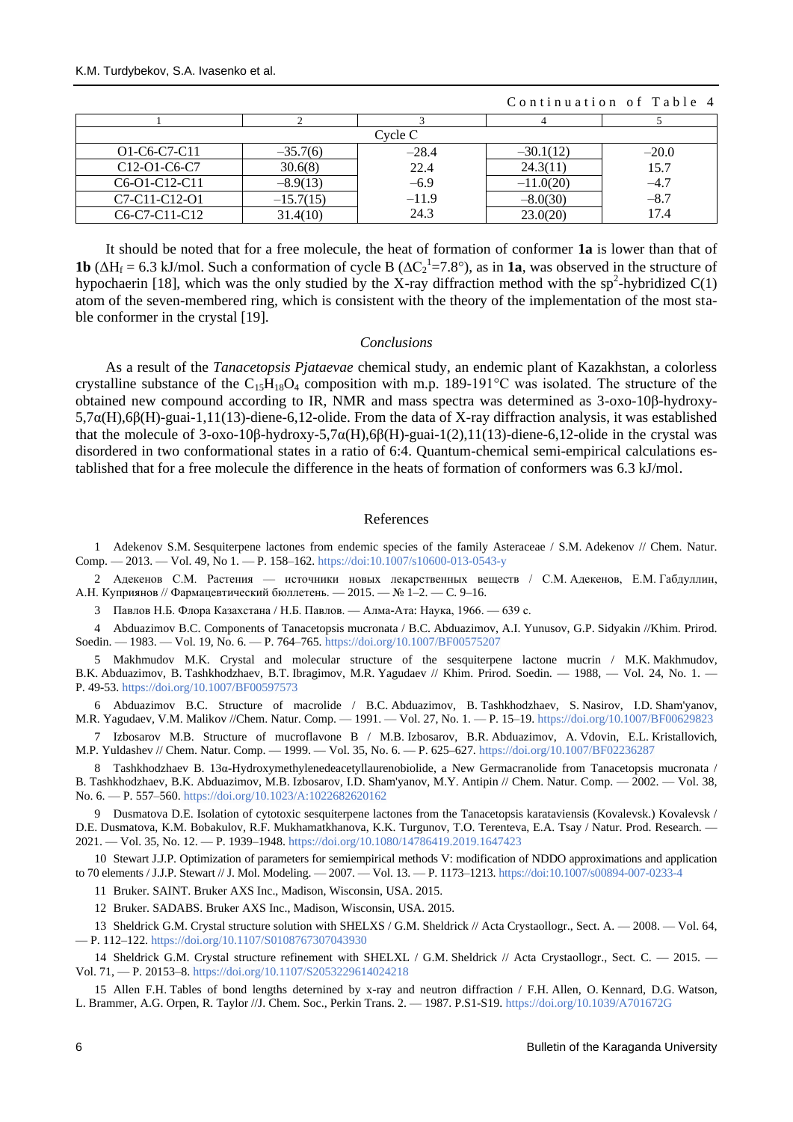|                                                                  |             |         | Continuation of Table 4 |         |  |
|------------------------------------------------------------------|-------------|---------|-------------------------|---------|--|
|                                                                  |             |         |                         |         |  |
|                                                                  |             | Cvcle C |                         |         |  |
| O1-C6-C7-C11                                                     | $-35.7(6)$  | $-28.4$ | $-30.1(12)$             | $-20.0$ |  |
| C <sub>12</sub> -O <sub>1</sub> -C <sub>6</sub> -C <sub>7</sub>  | 30.6(8)     | 22.4    | 24.3(11)                | 15.7    |  |
| $C6-01-C12-C11$                                                  | $-8.9(13)$  | $-6.9$  | $-11.0(20)$             | $-4.7$  |  |
| C <sub>7</sub> -C <sub>11</sub> -C <sub>12</sub> -O <sub>1</sub> | $-15.7(15)$ | $-11.9$ | $-8.0(30)$              | $-8.7$  |  |
| C <sub>6</sub> -C <sub>7</sub> -C <sub>11</sub> -C <sub>12</sub> | 31.4(10)    | 24.3    | 23.0(20)                | 17.4    |  |

It should be noted that for a free molecule, the heat of formation of conformer **1a** is lower than that of **1b** ( $\Delta H_f = 6.3$  kJ/mol. Such a conformation of cycle B ( $\Delta C_2^1 = 7.8^\circ$ ), as in **1a**, was observed in the structure of hypochaerin [18], which was the only studied by the X-ray diffraction method with the sp<sup>2</sup>-hybridized  $C(1)$ atom of the seven-membered ring, which is consistent with the theory of the implementation of the most stable conformer in the crystal [19].

## *Conclusions*

As a result of the *Tanacetopsis Pjataevae* chemical study, an endemic plant of Kazakhstan, a colorless crystalline substance of the  $C_{15}H_{18}O_4$  composition with m.p. 189-191°C was isolated. The structure of the obtained new compound according to IR, NMR and mass spectra was determined as 3-oxo-10β-hydroxy-5,7α(Н),6β(Н)-guai-1,11(13)-diene-6,12-olide. From the data of X-ray diffraction analysis, it was established that the molecule of 3-oxo-10β-hydroxy-5,7α(Н),6β(Н)-guai-1(2),11(13)-diene-6,12-olide in the crystal was disordered in two conformational states in a ratio of 6:4. Quantum-chemical semi-empirical calculations established that for a free molecule the difference in the heats of formation of conformers was 6.3 kJ/mol.

#### References

1 Adekenov S.M. Sesquiterpene lactones from endemic species of the family Asteraceae / S.M. Adekenov // Chem. Natur. Comp. — 2013. — Vol. 49, No 1. — P. 158–162. <https://doi:10.1007/s10600-013-0543-y>

2 Адекенов С.М. Растения — источники новых лекарственных веществ / С.М. Адекенов, Е.М. Габдуллин, А.Н. Куприянов // Фармацевтический бюллетень. — 2015. — № 1–2. — C. 9–16.

3 Павлов Н.Б. Флора Казахстана / Н.Б. Павлов. — Алма-Ата: Наука, 1966. — 639 с.

4 Abduazimov B.C. Components of Tanacetopsis mucronata / B.C. Abduazimov, A.I. Yunusov, G.P. Sidyakin //Khim. Prirod. Soedin. — 1983. — Vol. 19, No. 6. — P. 764–765. <https://doi.org/10.1007/BF00575207>

5 Makhmudov M.K. Crystal and molecular structure of the sesquiterpene lactone mucrin / M.K. Makhmudov, B.K. Abduazimov, B. Tashkhodzhaev, B.T. Ibragimov, M.R. Yagudaev // Khim. Prirod. Soedin. — 1988, — Vol. 24, No. 1. — P. 49-53. <https://doi.org/10.1007/BF00597573>

6 Abduazimov B.C. Structure of macrolide / B.C. Abduazimov, B. Tashkhodzhaev, S. Nasirov, I.D. Sham'yanov, M.R. Yagudaev, V.M. Malikov //Chem. Natur. Comp. — 1991. — Vol. 27, No. 1. — P. 15–19. <https://doi.org/10.1007/BF00629823>

7 Izbosarov M.B. Structure of mucroflavone B / M.B. Izbosarov, B.R. Abduazimov, A. Vdovin, E.L. Kristallovich, M.P. Yuldashev // Chem. Natur. Comp. — 1999. — Vol. 35, No. 6. — P. 625–627. <https://doi.org/10.1007/BF02236287>

8 Tashkhodzhaev B. 13α-Hydroxymethylenedeacetyllaurenobiolide, a New Germacranolide from Tanacetopsis mucronata / B. Tashkhodzhaev, B.K. Abduazimov, M.B. Izbosarov, I.D. Sham'yanov, M.Y. Antipin // Chem. Natur. Comp. — 2002. — Vol. 38, No. 6. — P. 557–560. <https://doi.org/10.1023/A:1022682620162>

9 [Dusmatova D.E.](https://www.webofscience.com/wos/author/record/31443963) Isolation of cytotoxic sesquiterpene lactones from the Tanacetopsis karataviensis (Kovalevsk.) Kovalevsk / D.E. [Dusmatova, K](https://www.webofscience.com/wos/author/record/31443963).M. [Bobakulov, R](https://www.webofscience.com/wos/author/record/1137649).F. [Mukhamatkhanova, K](https://www.webofscience.com/wos/author/record/5661052).K. [Turgunov, T.O.](https://www.webofscience.com/wos/author/record/537878) [Terenteva, E.A.](https://www.webofscience.com/wos/author/record/8598759) Tsay / Natur. Prod. Research. — 2021. — Vol. 35, No. 12. — P. 1939–1948[. https://doi.org/10.1080/14786419.2019.1647423](https://doi.org/10.1080/14786419.2019.1647423)

10 Stewart J.J.P. Optimization of parameters for semiempirical methods V: modification of NDDO approximations and application to 70 elements / J.J.P. Stewart // J. Mol. Modeling. — 2007. — Vol. 13. — P. 1173–1213[. https://doi:10.1007/s00894-007-0233-4](https://doi:10.1007/s00894-007-0233-4)

11 Bruker. SAINT. Bruker AXS Inc., Madison, Wisconsin, USA. 2015.

12 Bruker. SADABS. Bruker AXS Inc., Madison, Wisconsin, USA. 2015.

13 Sheldrick G.M. Crystal structure solution with SHELXS / G.M. Sheldrick // Acta Crystaollogr., Sect. A. — 2008. — Vol. 64, — P. 112–122[. https://doi.org/10.1107/S0108767307043930](https://doi.org/10.1107/S0108767307043930)

14 Sheldrick G.M. Crystal structure refinement with SHELXL / G.M. Sheldrick // Acta Crystaollogr., Sect. C. — 2015. — Vol. 71, — P. 20153–8. <https://doi.org/10.1107/S2053229614024218>

15 Allen F.H. Tables of bond lengths deternined by x-ray and neutron diffraction / F.H. Allen, O. Kennard, D.G. Watson, L. Brammer, A.G. Orpen, R. Taylor //J. Chem. Soc., Perkin Trans. 2. — 1987. P.S1-S19. <https://doi.org/10.1039/A701672G>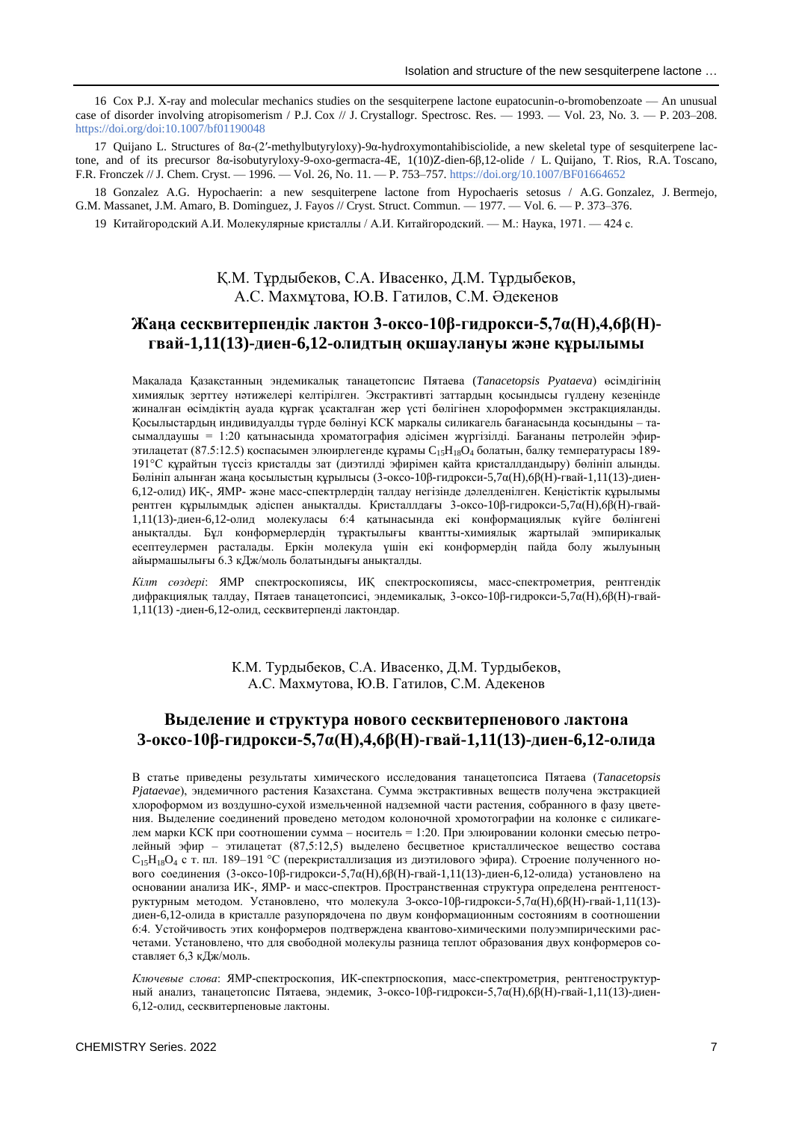16 Cox P.J. X-ray and molecular mechanics studies on the sesquiterpene lactone eupatocunin-o-bromobenzoate — An unusual case of disorder involving atropisomerism / P.J. Cox // J. Crystallogr. Spectrosc. Res.  $-$  1993.  $-$  Vol. 23, No. 3.  $-$  P. 203–208. <https://doi.org/doi:10.1007/bf01190048>

17 Quijano L. Structures of 8α-(2′-methylbutyryloxy)-9α-hydroxymontahibisciolide, a new skeletal type of sesquiterpene lactone, and of its precursor 8α-isobutyryloxy-9-oxo-germacra-4E, 1(10)Z-dien-6β,12-olide / L. Quijano, T. Rios, R.A. Toscano, F.R. Fronczek // J. Chem. Cryst. — 1996. — Vol. 26, No. 11. — P. 753–757. <https://doi.org/10.1007/BF01664652>

18 Gonzalez A.G. Hypochaerin: a new sesquiterpene lactone from Hypochaeris setosus / A.G. Gonzalez, J. Bermejo, G.M. Massanet, J.M. Amaro, B. Dominguez, J. Fayos // Cryst. Struct. Commun. — 1977. — Vol. 6. — P. 373–376.

19 Китайгородский А.И. Молекулярные кристаллы / А.И. Китайгородский. — M.: Наука, 1971. — 424 с.

# Қ.М. Тұрдыбеков, С.А. Ивасенко, Д.М. Тұрдыбеков, А.С. Махмұтова, Ю.В. Гатилов, С.М. Әдекенов

## **Жаңа сесквитерпендік лактон 3-оксо-10β-гидрокси-5,7α(Н),4,6β(Н) гвай-1,11(13)-диен-6,12-олидтың оқшаулануы және құрылымы**

Мақалада Қазақстанның эндемикалық танацетопсис Пятаева (*Tanacetopsis Pyataeva*) өсімдігінің химиялық зерттеу нәтижелері келтірілген. Экстрактивті заттардың қосындысы гүлдену кезеңінде жиналған өсімдіктің ауада құрғақ ұсақталған жер үсті бөлігінен хлороформмен экстракцияланды. Қосылыстардың индивидуалды түрде бөлінуі КСК маркалы силикагель бағанасында қосындыны – тасымалдаушы = 1:20 қатынасында хроматография әдісімен жүргізілді. Бағананы петролейн эфирэтилацетат (87.5:12.5) қоспасымен элюирлегенде құрамы  $C_{15}H_{18}O_4$  болатын, балқу температурасы 189-191°С құрайтын түссіз кристалды зат (диэтилді эфирімен қайта кристаллдандыру) бөлініп алынды. Бөлініп алынған жаңа қосылыстың құрылысы (3-оксо-10β-гидрокси-5,7α(Н),6β(Н)-гвай-1,11(13)-диен-6,12-олид) ИҚ-, ЯМР- және масс-спектрлердің талдау негізінде дәлелденілген. Кеңістіктік құрылымы рентген құрылымдық әдіспен анықталды. Кристаллдағы 3-оксо-10β-гидрокси-5,7α(Н),6β(Н)-гвай-1,11(13)-диен-6,12-олид молекуласы 6:4 қатынасында екі конформациялық күйге бөлінгені анықталды. Бұл конформерлердің тұрақтылығы квантты-химиялық жартылай эмпирикалық есептеулермен расталады. Еркін молекула үшін екі конформердің пайда болу жылуының айырмашылығы 6.3 кДж/моль болатындығы анықталды.

*Кілт сөздері*: ЯМР спектроскопиясы, ИҚ спектроскопиясы, масс-спектрометрия, рентгендік дифракциялық талдау, Пятаев танацетопсисі, эндемикалық, 3-оксо-10β-гидрокси-5,7α(Н),6β(Н)-гвай-1,11(13) -диен-6,12-олид, сесквитерпенді лактондар.

> К.М. Турдыбеков, С.А. Ивасенко, Д.М. Турдыбеков, А.С. Махмутова, Ю.В. Гатилов, С.М. Адекенов

# **Выделение и структура нового сесквитерпенового лактона 3-оксо-10β-гидрокси-5,7α(H),4,6β(H)-гвай-1,11(13)-диен-6,12-олида**

В статье приведены результаты химического исследования танацетопсиса Пятаева (*Tanacetopsis Pjataevae*), эндемичного растения Казахстана. Сумма экстрактивных веществ получена экстракцией хлороформом из воздушно-сухой измельченной надземной части растения, собранного в фазу цветения. Выделение соединений проведено методом колоночной хромотографии на колонке с силикагелем марки КСК при соотношении сумма – носитель = 1:20. При элюировании колонки смесью петролейный эфир – этилацетат (87,5:12,5) выделено бесцветное кристаллическое вещество состава  $C_{15}H_{18}O_4$  с т. пл. 189–191 °С (перекристаллизация из диэтилового эфира). Строение полученного нового соединения (3-оксо-10β-гидрокси-5,7α(Н),6β(Н)-гвай-1,11(13)-диен-6,12-олида) установлено на основании анализа ИК-, ЯМР- и масс-спектров. Пространственная структура определена рентгеноструктурным методом. Установлено, что молекула 3-оксо-10β-гидрокси-5,7α(Н),6β(Н)-гвай-1,11(13) диен-6,12-олида в кристалле разупорядочена по двум конформационным состояниям в соотношении 6:4. Устойчивость этих конформеров подтверждена квантово-химическими полуэмпирическими расчетами. Установлено, что для свободной молекулы разница теплот образования двух конформеров составляет 6,3 кДж/моль.

*Ключевые слова*: ЯМР-спектроскопия, ИК-спектрпоскопия, масс-спектрометрия, рентгеноструктурный анализ, танацетопсис Пятаева, эндемик, 3-оксо-10β-гидрокси-5,7α(Н),6β(Н)-гвай-1,11(13)-диен-6,12-олид, сесквитерпеновые лактоны.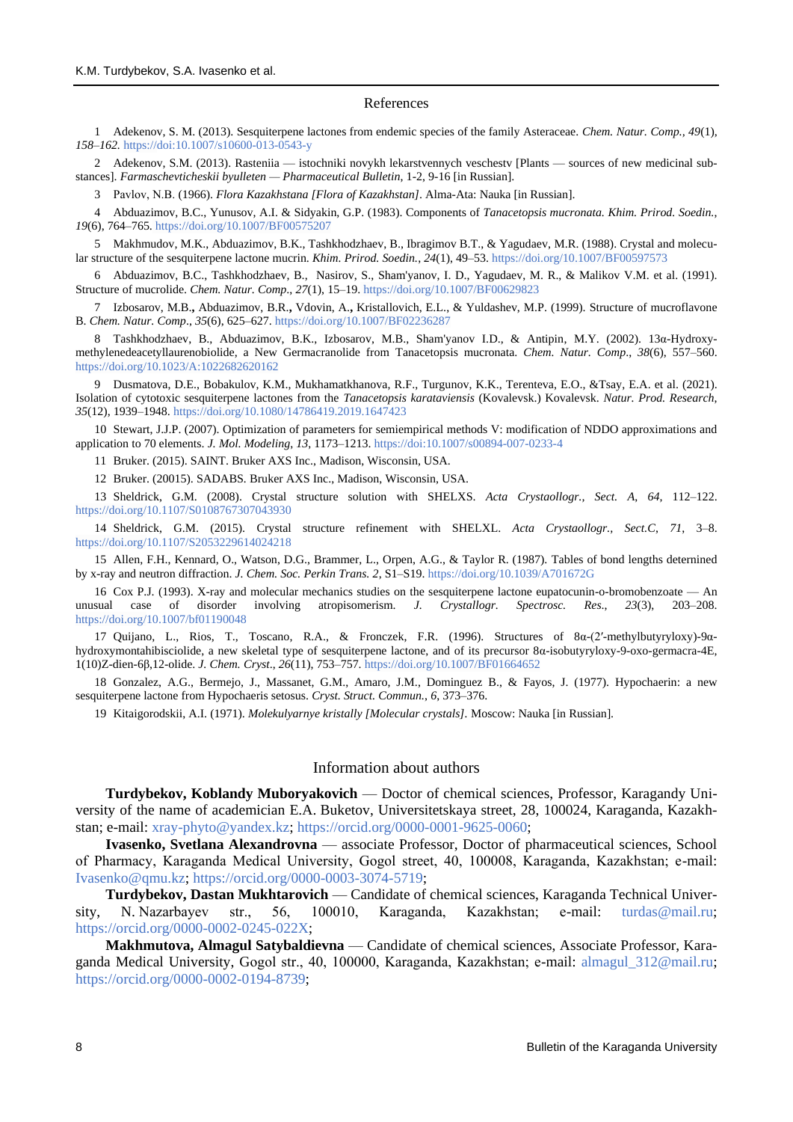#### References

1 Adekenov, S. M. (2013). Sesquiterpene lactones from endemic species of the family Asteraceae. *Chem. Natur. Comp., 49*(1), *158–162.* <https://doi:10.1007/s10600-013-0543-y>

2 Adekenov, S.M. (2013). Rasteniia — istochniki novykh lekarstvennych veschestv [Plants — sources of new medicinal substances]. *Farmaschevticheskii byulleten — Pharmaceutical Bulletin*, 1-2, 9-16 [in Russian].

3 Pavlov, N.В. (1966). *Flora Kazakhstana [Flora of Kazakhstan]*. Alma-Ata: Nauka [in Russian].

4 Abduazimov, B.C., Yunusov, A.I. & Sidyakin, G.P. (1983). Components of *Tanacetopsis mucronata. Khim. Prirod. Soedin.*, *19*(6), 764–765. <https://doi.org/10.1007/BF00575207>

5 Makhmudov, M.K., Abduazimov, B.K., Tashkhodzhaev, B., Ibragimov B.T., & Yagudaev, M.R. (1988). Crystal and molecular structure of the sesquiterpene lactone mucrin. *Khim. Prirod. Soedin.*, *24*(1), 49–53. <https://doi.org/10.1007/BF00597573>

6 Abduazimov, B.C., Tashkhodzhaev, B., Nasirov, S., Sham'yanov, I. D., Yagudaev, M. R., & Malikov V.M. et al. (1991). Structure of mucrolide. *Chem. Natur. Comp*., *27*(1), 15–19. <https://doi.org/10.1007/BF00629823>

7 Izbosarov, M.B.**,** Abduazimov, B.R.**,** Vdovin, A.**,** Kristallovich, E.L., & Yuldashev, M.P. (1999). Structure of mucroflavone B. *Chem. Natur. Comp*., *35*(6), 625–627. <https://doi.org/10.1007/BF02236287>

8 Tashkhodzhaev, B., Abduazimov, B.K., Izbosarov, M.B., Sham'yanov I.D., & Antipin, M.Y. (2002). 13α-Hydroxymethylenedeacetyllaurenobiolide, a New Germacranolide from Tanacetopsis mucronata. *Chem. Natur. Comp*., *38*(6), 557–560. <https://doi.org/10.1023/A:1022682620162>

9 [Dusmatova, D.E.,](https://www.webofscience.com/wos/author/record/31443963) [Bobakulov, K.M.](https://www.webofscience.com/wos/author/record/1137649), [Mukhamatkhanova, R.F.,](https://www.webofscience.com/wos/author/record/5661052) [Turgunov, K.K.,](https://www.webofscience.com/wos/author/record/537878) [Terenteva, E.O.](https://www.webofscience.com/wos/author/record/8598759), [&Tsay, E.A.](https://www.webofscience.com/wos/author/record/31557538) et al. (2021). Isolation of cytotoxic sesquiterpene lactones from the *Tanacetopsis karataviensis* (Kovalevsk.) Kovalevsk. *Natur. Prod. Research*, *35*(12), 1939–1948.<https://doi.org/10.1080/14786419.2019.1647423>

10 Stewart, J.J.P. (2007). Optimization of parameters for semiempirical methods V: modification of NDDO approximations and application to 70 elements. *J. Mol. Modeling*, *13*, 1173–1213.<https://doi:10.1007/s00894-007-0233-4>

11 Bruker. (2015). SAINT. Bruker AXS Inc., Madison, Wisconsin, USA.

12 Bruker. (20015). SADABS*.* Bruker AXS Inc., Madison, Wisconsin, USA.

13 Sheldrick, G.M. (2008). Crystal structure solution with SHELXS. *Acta Crystaollogr., Sect. A*, *64*, 112–122. <https://doi.org/10.1107/S0108767307043930>

14 Sheldrick, G.M. (2015). Crystal structure refinement with SHELXL. *Acta Crystaollogr., Sect.C*, *71*, 3–8. <https://doi.org/10.1107/S2053229614024218>

15 Allen, F.H., Kennard, O., Watson, D.G., Brammer, L., Orpen, A.G., & Taylor R. (1987). Tables of bond lengths deternined by x-ray and neutron diffraction. *J. Chem. Soc. Perkin Trans. 2*, S1–S19. <https://doi.org/10.1039/A701672G>

16 Cox P.J. (1993). X-ray and molecular mechanics studies on the sesquiterpene lactone eupatocunin-o-bromobenzoate — An unusual case of disorder involving atropisomerism. *J. Crystallogr. Spectrosc. Res*., *23*(3), 203–208. <https://doi.org/10.1007/bf01190048>

17 Quijano, L., Rios, T., Toscano, R.A., & Fronczek, F.R. (1996). Structures of 8α-(2′-methylbutyryloxy)-9αhydroxymontahibisciolide, a new skeletal type of sesquiterpene lactone, and of its precursor 8α-isobutyryloxy-9-oxo-germacra-4E, 1(10)Z-dien-6β,12-olide. *J. Chem. Cryst*., *26*(11), 753–757. <https://doi.org/10.1007/BF01664652>

18 Gonzalez, A.G., Bermejo, J., Massanet, G.M., Amaro, J.M., Dominguez B., & Fayos, J. (1977). Hypochaerin: a new sesquiterpene lactone from Hypochaeris setosus. *Cryst. Struct. Commun.*, *6*, 373–376.

19 Kitaigorodskii, A.I. (1971). *Molekulyarnye kristally [Molecular crystals].* Moscow: Nauka [in Russian].

## Information about authors

**Turdybekov, Koblandy Muboryakovich** — Doctor of chemical sciences, Professor, Karagandy University of the name of academician E.A. Buketov, Universitetskaya street, 28, 100024, Karaganda, Kazakhstan; e-mail: [xray-phyto@yandex.kz;](mailto:xray-phyto@yandex.kz) [https://orcid.org/0000-0001-9625-0060;](https://orcid.org/0000-0001-9625-0060)

**Ivasenko, Svetlana Alexandrovna** — associate Professor, Doctor of pharmaceutical sciences, School of Pharmacy, Karaganda Medical University, Gogol street, 40, 100008, Karaganda, Kazakhstan; е-mail: [Ivasenko@qmu.kz;](mailto:Ivasenko@qmu.kz) [https://orcid.org/0000-0003-3074-5719;](https://orcid.org/0000-0003-3074-5719)

**Turdybekov, Dastan Mukhtarovich** — Candidate of chemical sciences, Karaganda Technical University, N. Nazarbayev str., 56, 100010, Karaganda, Kazakhstan; e-mail: [turdas@mail.ru;](mailto:turdas@mail.ru) [https://orcid.org/0000-0002-0245-022X;](https://orcid.org/0000-0002-0245-022X)

**Makhmutova, Almagul Satybaldievna** — Candidate of chemical sciences, Associate Professor, Karaganda Medical University, Gogol str., 40, 100000, Karaganda, Kazakhstan; е-mail: [almagul\\_312@mail.ru;](mailto:almagul_312@mail.ru) [https://orcid.org/0000-0002-0194-8739;](https://orcid.org/0000-0002-0194-8739)